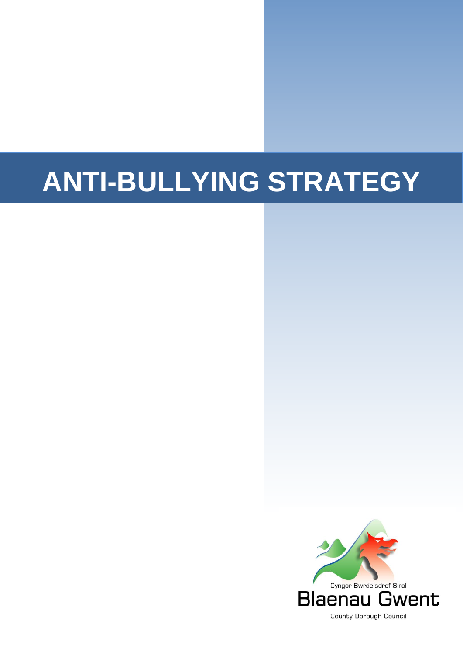# **ANTI-BULLYING STRATEGY**

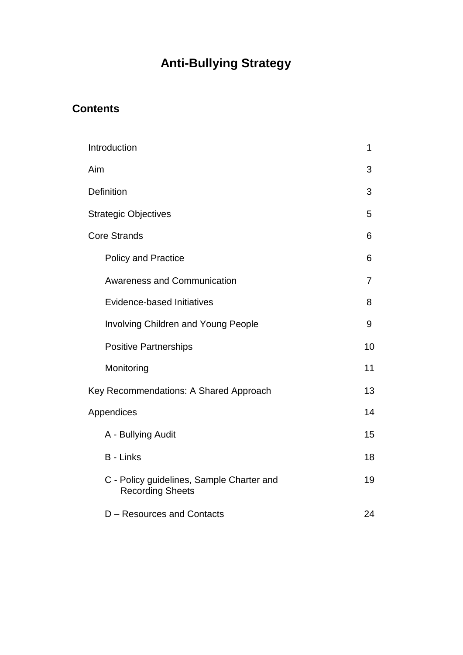# **Anti-Bullying Strategy**

#### **Contents**

| Introduction                                                         | 1              |
|----------------------------------------------------------------------|----------------|
| Aim                                                                  | 3              |
| <b>Definition</b>                                                    | 3              |
| <b>Strategic Objectives</b>                                          | 5              |
| <b>Core Strands</b>                                                  | 6              |
| <b>Policy and Practice</b>                                           | 6              |
| <b>Awareness and Communication</b>                                   | $\overline{7}$ |
| Evidence-based Initiatives                                           | 8              |
| <b>Involving Children and Young People</b>                           | 9              |
| <b>Positive Partnerships</b>                                         | 10             |
| Monitoring                                                           | 11             |
| Key Recommendations: A Shared Approach                               | 13             |
| Appendices                                                           | 14             |
| A - Bullying Audit                                                   | 15             |
| <b>B</b> - Links                                                     | 18             |
| C - Policy guidelines, Sample Charter and<br><b>Recording Sheets</b> | 19             |
| D - Resources and Contacts                                           | 24             |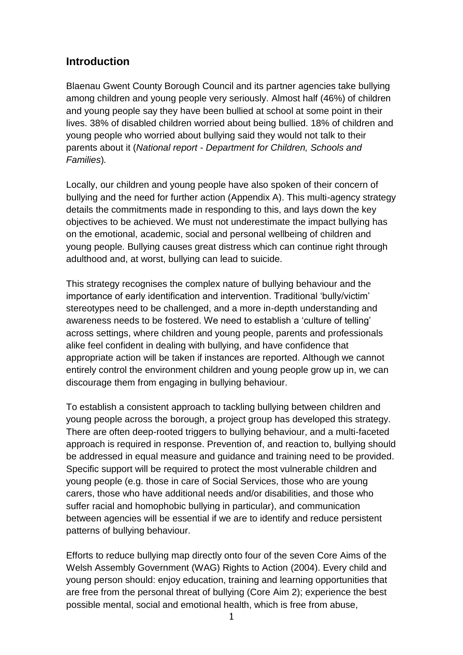#### **Introduction**

Blaenau Gwent County Borough Council and its partner agencies take bullying among children and young people very seriously. Almost half (46%) of children and young people say they have been bullied at school at some point in their lives. 38% of disabled children worried about being bullied. 18% of children and young people who worried about bullying said they would not talk to their parents about it (*National report - Department for Children, Schools and Families*)*.*

Locally, our children and young people have also spoken of their concern of bullying and the need for further action (Appendix A). This multi-agency strategy details the commitments made in responding to this, and lays down the key objectives to be achieved. We must not underestimate the impact bullying has on the emotional, academic, social and personal wellbeing of children and young people. Bullying causes great distress which can continue right through adulthood and, at worst, bullying can lead to suicide.

This strategy recognises the complex nature of bullying behaviour and the importance of early identification and intervention. Traditional 'bully/victim' stereotypes need to be challenged, and a more in-depth understanding and awareness needs to be fostered. We need to establish a 'culture of telling' across settings, where children and young people, parents and professionals alike feel confident in dealing with bullying, and have confidence that appropriate action will be taken if instances are reported. Although we cannot entirely control the environment children and young people grow up in, we can discourage them from engaging in bullying behaviour.

To establish a consistent approach to tackling bullying between children and young people across the borough, a project group has developed this strategy. There are often deep-rooted triggers to bullying behaviour, and a multi-faceted approach is required in response. Prevention of, and reaction to, bullying should be addressed in equal measure and guidance and training need to be provided. Specific support will be required to protect the most vulnerable children and young people (e.g. those in care of Social Services, those who are young carers, those who have additional needs and/or disabilities, and those who suffer racial and homophobic bullying in particular), and communication between agencies will be essential if we are to identify and reduce persistent patterns of bullying behaviour.

Efforts to reduce bullying map directly onto four of the seven Core Aims of the Welsh Assembly Government (WAG) Rights to Action (2004). Every child and young person should: enjoy education, training and learning opportunities that are free from the personal threat of bullying (Core Aim 2); experience the best possible mental, social and emotional health, which is free from abuse,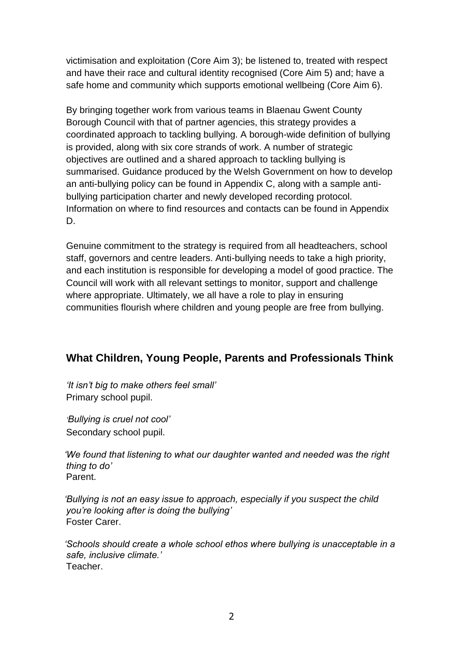victimisation and exploitation (Core Aim 3); be listened to, treated with respect and have their race and cultural identity recognised (Core Aim 5) and; have a safe home and community which supports emotional wellbeing (Core Aim 6).

By bringing together work from various teams in Blaenau Gwent County Borough Council with that of partner agencies, this strategy provides a coordinated approach to tackling bullying. A borough-wide definition of bullying is provided, along with six core strands of work. A number of strategic objectives are outlined and a shared approach to tackling bullying is summarised. Guidance produced by the Welsh Government on how to develop an anti-bullying policy can be found in Appendix C, along with a sample antibullying participation charter and newly developed recording protocol. Information on where to find resources and contacts can be found in Appendix D.

Genuine commitment to the strategy is required from all headteachers, school staff, governors and centre leaders. Anti-bullying needs to take a high priority, and each institution is responsible for developing a model of good practice. The Council will work with all relevant settings to monitor, support and challenge where appropriate. Ultimately, we all have a role to play in ensuring communities flourish where children and young people are free from bullying.

#### **What Children, Young People, Parents and Professionals Think**

*'It isn't big to make others feel small'*  Primary school pupil.

*'Bullying is cruel not cool'* Secondary school pupil.

*'We found that listening to what our daughter wanted and needed was the right thing to do'* Parent.

*'Bullying is not an easy issue to approach, especially if you suspect the child you're looking after is doing the bullying'* Foster Carer.

*'Schools should create a whole school ethos where bullying is unacceptable in a safe, inclusive climate.'* Teacher.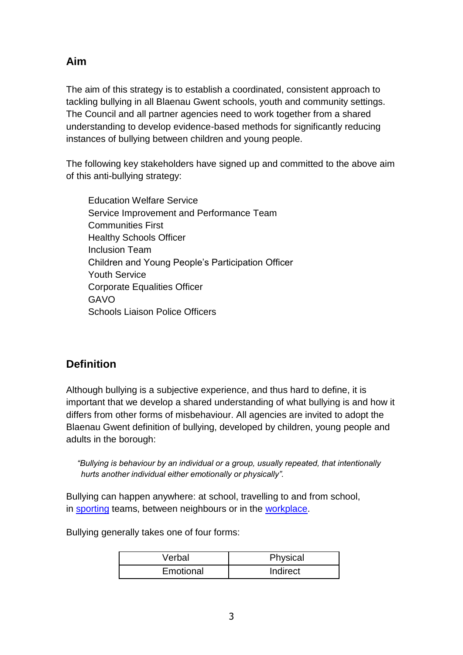**Aim**

The aim of this strategy is to establish a coordinated, consistent approach to tackling bullying in all Blaenau Gwent schools, youth and community settings. The Council and all partner agencies need to work together from a shared understanding to develop evidence-based methods for significantly reducing instances of bullying between children and young people.

The following key stakeholders have signed up and committed to the above aim of this anti-bullying strategy:

Education Welfare Service Service Improvement and Performance Team Communities First Healthy Schools Officer Inclusion Team Children and Young People's Participation Officer Youth Service Corporate Equalities Officer GAVO Schools Liaison Police Officers

#### **Definition**

Although bullying is a subjective experience, and thus hard to define, it is important that we develop a shared understanding of what bullying is and how it differs from other forms of misbehaviour. All agencies are invited to adopt the Blaenau Gwent definition of bullying, developed by children, young people and adults in the borough:

*"Bullying is behaviour by an individual or a group, usually repeated, that intentionally hurts another individual either emotionally or physically".*

Bullying can happen anywhere: at school, travelling to and from school, in [sporting](http://www.bullying.co.uk/general-advice/advice-about-bullying-in-sports-clubs/) teams, between neighbours or in the [workplace.](http://www.bullying.co.uk/bullying-at-work/workplace-bullying/)

Bullying generally takes one of four forms:

| Verbal    | Physical |
|-----------|----------|
| Emotional | Indirect |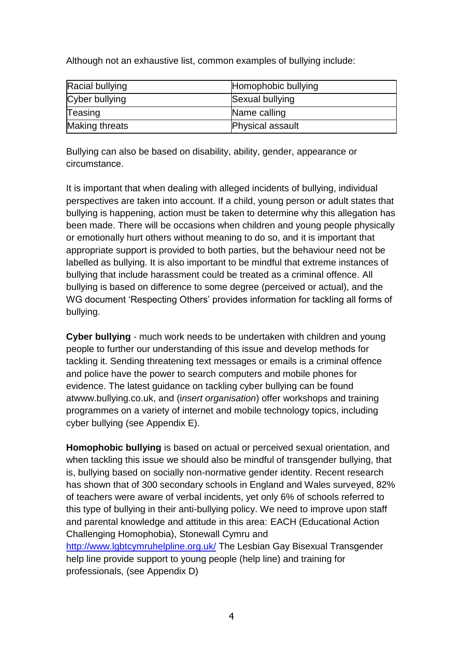Although not an exhaustive list, common examples of bullying include:

| Racial bullying       | Homophobic bullying     |
|-----------------------|-------------------------|
| Cyber bullying        | Sexual bullying         |
| Teasing               | Name calling            |
| <b>Making threats</b> | <b>Physical assault</b> |

Bullying can also be based on disability, ability, gender, appearance or circumstance.

It is important that when dealing with alleged incidents of bullying, individual perspectives are taken into account. If a child, young person or adult states that bullying is happening, action must be taken to determine why this allegation has been made. There will be occasions when children and young people physically or emotionally hurt others without meaning to do so, and it is important that appropriate support is provided to both parties, but the behaviour need not be labelled as bullying. It is also important to be mindful that extreme instances of bullying that include harassment could be treated as a criminal offence. All bullying is based on difference to some degree (perceived or actual), and the WG document 'Respecting Others' provides information for tackling all forms of bullying.

**Cyber bullying** - much work needs to be undertaken with children and young people to further our understanding of this issue and develop methods for tackling it. Sending threatening text messages or emails is a criminal offence and police have the power to search computers and mobile phones for evidence. The latest guidance on tackling cyber bullying can be found atwww.bullying.co.uk, and (i*nsert organisation*) offer workshops and training programmes on a variety of internet and mobile technology topics, including cyber bullying (see Appendix E).

**Homophobic bullying** is based on actual or perceived sexual orientation, and when tackling this issue we should also be mindful of transgender bullying, that is, bullying based on socially non-normative gender identity. Recent research has shown that of 300 secondary schools in England and Wales surveyed, 82% of teachers were aware of verbal incidents, yet only 6% of schools referred to this type of bullying in their anti-bullying policy. We need to improve upon staff and parental knowledge and attitude in this area: EACH (Educational Action Challenging Homophobia), Stonewall Cymru and <http://www.lgbtcymruhelpline.org.uk/> The Lesbian Gay Bisexual Transgender help line provide support to young people (help line) and training for professionals, (see Appendix D)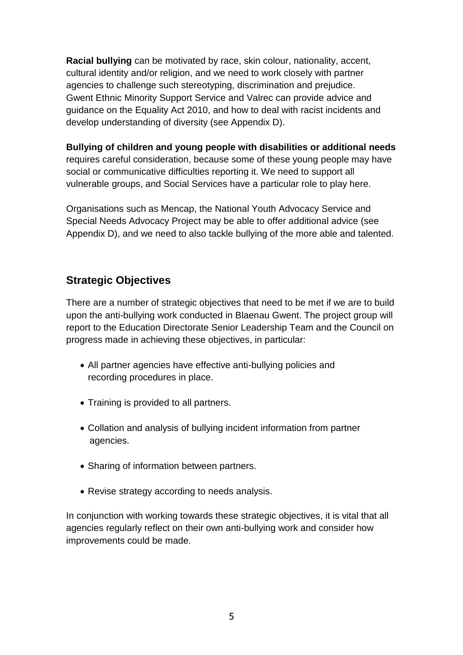**Racial bullying** can be motivated by race, skin colour, nationality, accent, cultural identity and/or religion, and we need to work closely with partner agencies to challenge such stereotyping, discrimination and prejudice. Gwent Ethnic Minority Support Service and Valrec can provide advice and guidance on the Equality Act 2010, and how to deal with racist incidents and develop understanding of diversity (see Appendix D).

**Bullying of children and young people with disabilities or additional needs**  requires careful consideration, because some of these young people may have social or communicative difficulties reporting it. We need to support all vulnerable groups, and Social Services have a particular role to play here.

Organisations such as Mencap, the National Youth Advocacy Service and Special Needs Advocacy Project may be able to offer additional advice (see Appendix D), and we need to also tackle bullying of the more able and talented.

#### **Strategic Objectives**

There are a number of strategic objectives that need to be met if we are to build upon the anti-bullying work conducted in Blaenau Gwent. The project group will report to the Education Directorate Senior Leadership Team and the Council on progress made in achieving these objectives, in particular:

- All partner agencies have effective anti-bullying policies and recording procedures in place.
- Training is provided to all partners.
- Collation and analysis of bullying incident information from partner agencies.
- Sharing of information between partners.
- Revise strategy according to needs analysis.

In conjunction with working towards these strategic objectives, it is vital that all agencies regularly reflect on their own anti-bullying work and consider how improvements could be made.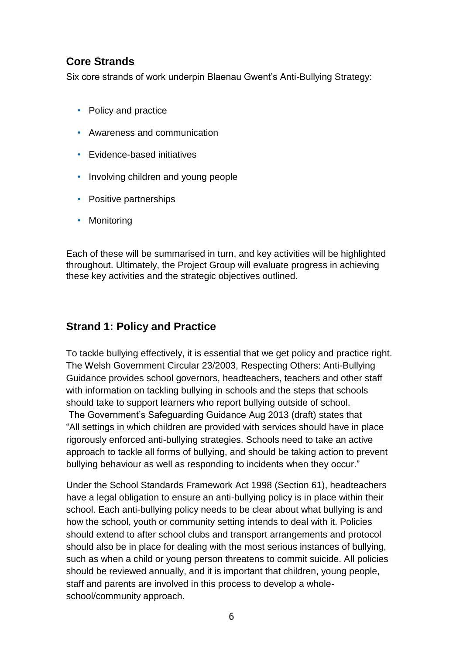#### **Core Strands**

Six core strands of work underpin Blaenau Gwent's Anti-Bullying Strategy:

- Policy and practice
- Awareness and communication
- Evidence-based initiatives
- Involving children and young people
- Positive partnerships
- Monitoring

Each of these will be summarised in turn, and key activities will be highlighted throughout. Ultimately, the Project Group will evaluate progress in achieving these key activities and the strategic objectives outlined.

#### **Strand 1: Policy and Practice**

To tackle bullying effectively, it is essential that we get policy and practice right. The Welsh Government Circular 23/2003, Respecting Others: Anti-Bullying Guidance provides school governors, headteachers, teachers and other staff with information on tackling bullying in schools and the steps that schools should take to support learners who report bullying outside of school.

The Government's Safeguarding Guidance Aug 2013 (draft) states that "All settings in which children are provided with services should have in place rigorously enforced anti-bullying strategies. Schools need to take an active approach to tackle all forms of bullying, and should be taking action to prevent bullying behaviour as well as responding to incidents when they occur."

Under the School Standards Framework Act 1998 (Section 61), headteachers have a legal obligation to ensure an anti-bullying policy is in place within their school. Each anti-bullying policy needs to be clear about what bullying is and how the school, youth or community setting intends to deal with it. Policies should extend to after school clubs and transport arrangements and protocol should also be in place for dealing with the most serious instances of bullying, such as when a child or young person threatens to commit suicide. All policies should be reviewed annually, and it is important that children, young people, staff and parents are involved in this process to develop a wholeschool/community approach.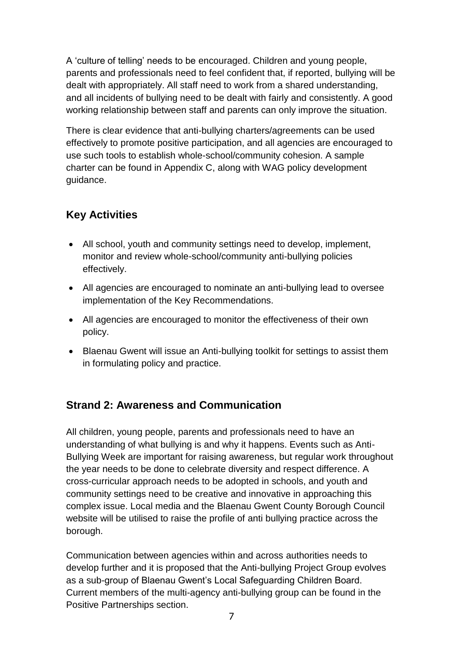A 'culture of telling' needs to be encouraged. Children and young people, parents and professionals need to feel confident that, if reported, bullying will be dealt with appropriately. All staff need to work from a shared understanding, and all incidents of bullying need to be dealt with fairly and consistently. A good working relationship between staff and parents can only improve the situation.

There is clear evidence that anti-bullying charters/agreements can be used effectively to promote positive participation, and all agencies are encouraged to use such tools to establish whole-school/community cohesion. A sample charter can be found in Appendix C, along with WAG policy development guidance.

#### **Key Activities**

- All school, youth and community settings need to develop, implement, monitor and review whole-school/community anti-bullying policies effectively.
- All agencies are encouraged to nominate an anti-bullying lead to oversee implementation of the Key Recommendations.
- All agencies are encouraged to monitor the effectiveness of their own policy.
- Blaenau Gwent will issue an Anti-bullying toolkit for settings to assist them in formulating policy and practice.

#### **Strand 2: Awareness and Communication**

All children, young people, parents and professionals need to have an understanding of what bullying is and why it happens. Events such as Anti-Bullying Week are important for raising awareness, but regular work throughout the year needs to be done to celebrate diversity and respect difference. A cross-curricular approach needs to be adopted in schools, and youth and community settings need to be creative and innovative in approaching this complex issue. Local media and the Blaenau Gwent County Borough Council website will be utilised to raise the profile of anti bullying practice across the borough.

Communication between agencies within and across authorities needs to develop further and it is proposed that the Anti-bullying Project Group evolves as a sub-group of Blaenau Gwent's Local Safeguarding Children Board. Current members of the multi-agency anti-bullying group can be found in the Positive Partnerships section.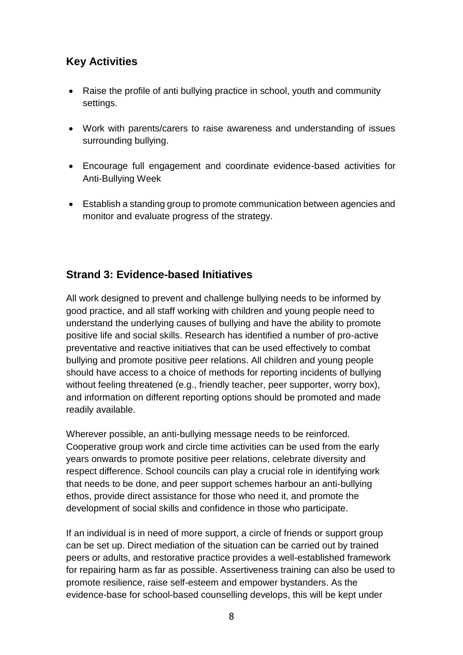#### **Key Activities**

- Raise the profile of anti bullying practice in school, youth and community settings.
- Work with parents/carers to raise awareness and understanding of issues surrounding bullying.
- Encourage full engagement and coordinate evidence-based activities for Anti-Bullying Week
- Establish a standing group to promote communication between agencies and monitor and evaluate progress of the strategy.

#### **Strand 3: Evidence-based Initiatives**

All work designed to prevent and challenge bullying needs to be informed by good practice, and all staff working with children and young people need to understand the underlying causes of bullying and have the ability to promote positive life and social skills. Research has identified a number of pro-active preventative and reactive initiatives that can be used effectively to combat bullying and promote positive peer relations. All children and young people should have access to a choice of methods for reporting incidents of bullying without feeling threatened (e.g., friendly teacher, peer supporter, worry box), and information on different reporting options should be promoted and made readily available.

Wherever possible, an anti-bullying message needs to be reinforced. Cooperative group work and circle time activities can be used from the early years onwards to promote positive peer relations, celebrate diversity and respect difference. School councils can play a crucial role in identifying work that needs to be done, and peer support schemes harbour an anti-bullying ethos, provide direct assistance for those who need it, and promote the development of social skills and confidence in those who participate.

If an individual is in need of more support, a circle of friends or support group can be set up. Direct mediation of the situation can be carried out by trained peers or adults, and restorative practice provides a well-established framework for repairing harm as far as possible. Assertiveness training can also be used to promote resilience, raise self-esteem and empower bystanders. As the evidence-base for school-based counselling develops, this will be kept under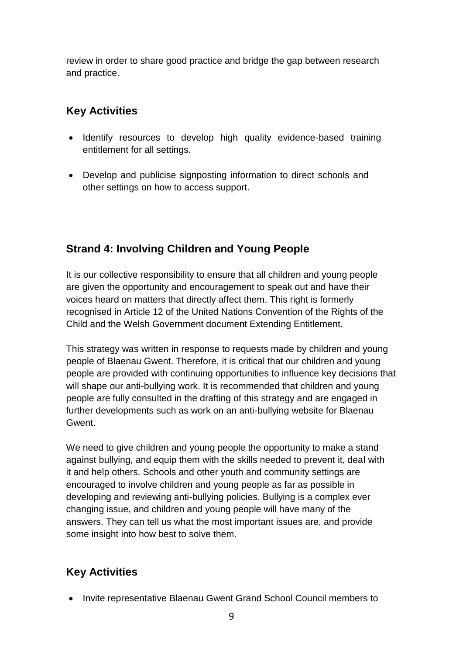review in order to share good practice and bridge the gap between research and practice.

#### **Key Activities**

- Identify resources to develop high quality evidence-based training entitlement for all settings.
- Develop and publicise signposting information to direct schools and other settings on how to access support.

#### **Strand 4: Involving Children and Young People**

It is our collective responsibility to ensure that all children and young people are given the opportunity and encouragement to speak out and have their voices heard on matters that directly affect them. This right is formerly recognised in Article 12 of the United Nations Convention of the Rights of the Child and the Welsh Government document Extending Entitlement.

This strategy was written in response to requests made by children and young people of Blaenau Gwent. Therefore, it is critical that our children and young people are provided with continuing opportunities to influence key decisions that will shape our anti-bullying work. It is recommended that children and young people are fully consulted in the drafting of this strategy and are engaged in further developments such as work on an anti-bullying website for Blaenau Gwent.

We need to give children and young people the opportunity to make a stand against bullying, and equip them with the skills needed to prevent it, deal with it and help others. Schools and other youth and community settings are encouraged to involve children and young people as far as possible in developing and reviewing anti-bullying policies. Bullying is a complex ever changing issue, and children and young people will have many of the answers. They can tell us what the most important issues are, and provide some insight into how best to solve them.

#### **Key Activities**

• Invite representative Blaenau Gwent Grand School Council members to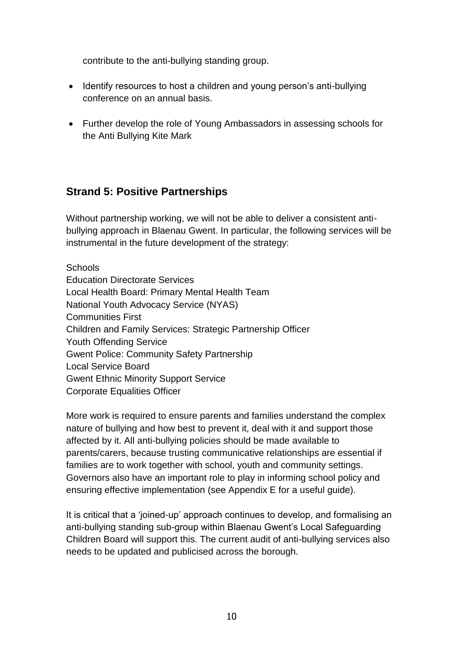contribute to the anti-bullying standing group.

- Identify resources to host a children and young person's anti-bullying conference on an annual basis.
- Further develop the role of Young Ambassadors in assessing schools for the Anti Bullying Kite Mark

#### **Strand 5: Positive Partnerships**

Without partnership working, we will not be able to deliver a consistent antibullying approach in Blaenau Gwent. In particular, the following services will be instrumental in the future development of the strategy:

**Schools** Education Directorate Services Local Health Board: Primary Mental Health Team National Youth Advocacy Service (NYAS) Communities First Children and Family Services: Strategic Partnership Officer Youth Offending Service Gwent Police: Community Safety Partnership Local Service Board Gwent Ethnic Minority Support Service Corporate Equalities Officer

More work is required to ensure parents and families understand the complex nature of bullying and how best to prevent it, deal with it and support those affected by it. All anti-bullying policies should be made available to parents/carers, because trusting communicative relationships are essential if families are to work together with school, youth and community settings. Governors also have an important role to play in informing school policy and ensuring effective implementation (see Appendix E for a useful guide).

It is critical that a 'joined-up' approach continues to develop, and formalising an anti-bullying standing sub-group within Blaenau Gwent's Local Safeguarding Children Board will support this. The current audit of anti-bullying services also needs to be updated and publicised across the borough.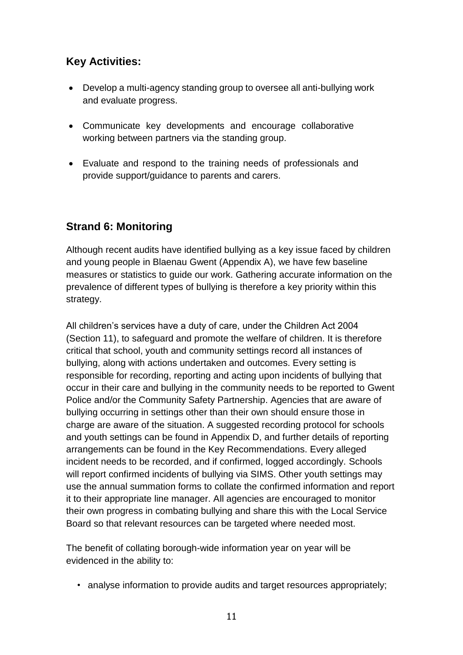#### **Key Activities:**

- Develop a multi-agency standing group to oversee all anti-bullying work and evaluate progress.
- Communicate key developments and encourage collaborative working between partners via the standing group.
- Evaluate and respond to the training needs of professionals and provide support/guidance to parents and carers.

#### **Strand 6: Monitoring**

Although recent audits have identified bullying as a key issue faced by children and young people in Blaenau Gwent (Appendix A), we have few baseline measures or statistics to guide our work. Gathering accurate information on the prevalence of different types of bullying is therefore a key priority within this strategy.

All children's services have a duty of care, under the Children Act 2004 (Section 11), to safeguard and promote the welfare of children. It is therefore critical that school, youth and community settings record all instances of bullying, along with actions undertaken and outcomes. Every setting is responsible for recording, reporting and acting upon incidents of bullying that occur in their care and bullying in the community needs to be reported to Gwent Police and/or the Community Safety Partnership. Agencies that are aware of bullying occurring in settings other than their own should ensure those in charge are aware of the situation. A suggested recording protocol for schools and youth settings can be found in Appendix D, and further details of reporting arrangements can be found in the Key Recommendations. Every alleged incident needs to be recorded, and if confirmed, logged accordingly. Schools will report confirmed incidents of bullying via SIMS. Other youth settings may use the annual summation forms to collate the confirmed information and report it to their appropriate line manager. All agencies are encouraged to monitor their own progress in combating bullying and share this with the Local Service Board so that relevant resources can be targeted where needed most.

The benefit of collating borough-wide information year on year will be evidenced in the ability to:

• analyse information to provide audits and target resources appropriately;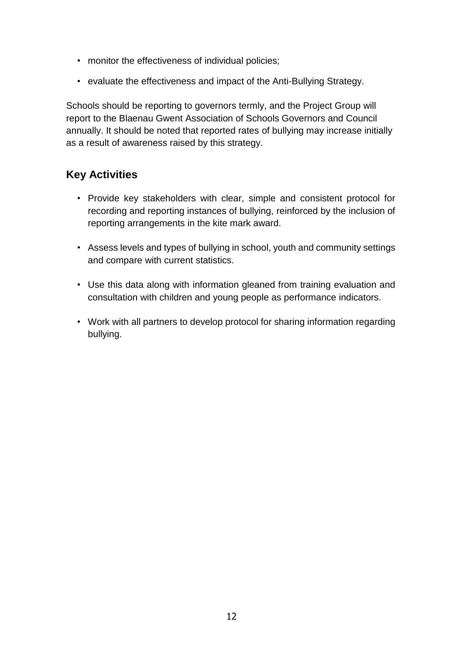- monitor the effectiveness of individual policies;
- evaluate the effectiveness and impact of the Anti-Bullying Strategy.

Schools should be reporting to governors termly, and the Project Group will report to the Blaenau Gwent Association of Schools Governors and Council annually. It should be noted that reported rates of bullying may increase initially as a result of awareness raised by this strategy.

#### **Key Activities**

- Provide key stakeholders with clear, simple and consistent protocol for recording and reporting instances of bullying, reinforced by the inclusion of reporting arrangements in the kite mark award.
- Assess levels and types of bullying in school, youth and community settings and compare with current statistics.
- Use this data along with information gleaned from training evaluation and consultation with children and young people as performance indicators.
- Work with all partners to develop protocol for sharing information regarding bullying.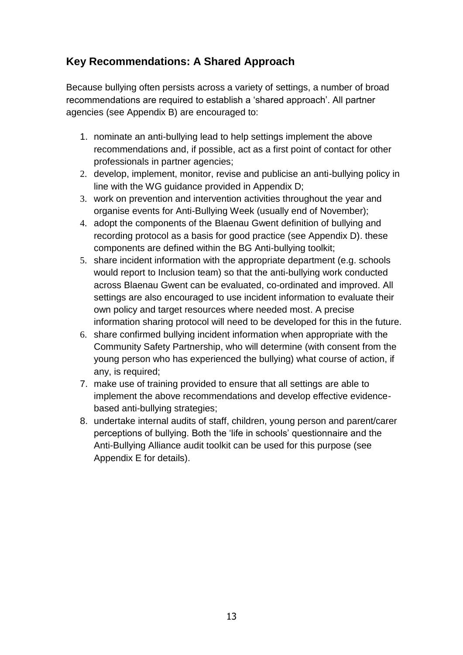#### **Key Recommendations: A Shared Approach**

Because bullying often persists across a variety of settings, a number of broad recommendations are required to establish a 'shared approach'. All partner agencies (see Appendix B) are encouraged to:

- 1. nominate an anti-bullying lead to help settings implement the above recommendations and, if possible, act as a first point of contact for other professionals in partner agencies;
- 2. develop, implement, monitor, revise and publicise an anti-bullying policy in line with the WG guidance provided in Appendix D;
- 3. work on prevention and intervention activities throughout the year and organise events for Anti-Bullying Week (usually end of November);
- 4. adopt the components of the Blaenau Gwent definition of bullying and recording protocol as a basis for good practice (see Appendix D). these components are defined within the BG Anti-bullying toolkit;
- 5. share incident information with the appropriate department (e.g. schools would report to Inclusion team) so that the anti-bullying work conducted across Blaenau Gwent can be evaluated, co-ordinated and improved. All settings are also encouraged to use incident information to evaluate their own policy and target resources where needed most. A precise information sharing protocol will need to be developed for this in the future.
- 6. share confirmed bullying incident information when appropriate with the Community Safety Partnership, who will determine (with consent from the young person who has experienced the bullying) what course of action, if any, is required;
- 7. make use of training provided to ensure that all settings are able to implement the above recommendations and develop effective evidencebased anti-bullying strategies;
- 8. undertake internal audits of staff, children, young person and parent/carer perceptions of bullying. Both the 'life in schools' questionnaire and the Anti-Bullying Alliance audit toolkit can be used for this purpose (see Appendix E for details).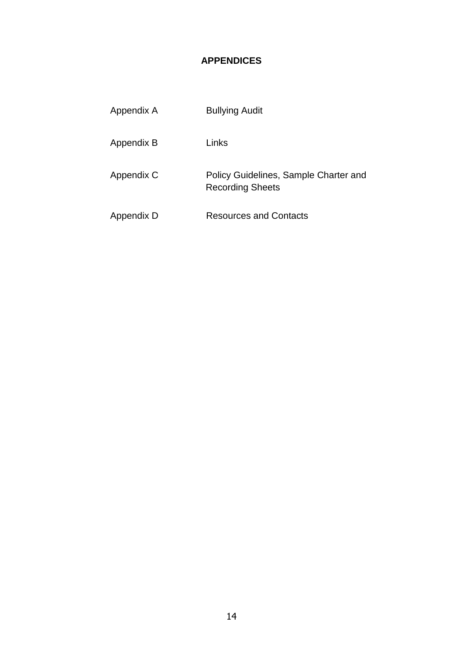#### **APPENDICES**

| Appendix A | <b>Bullying Audit</b>                                            |
|------------|------------------------------------------------------------------|
| Appendix B | Links                                                            |
| Appendix C | Policy Guidelines, Sample Charter and<br><b>Recording Sheets</b> |
| Appendix D | Resources and Contacts                                           |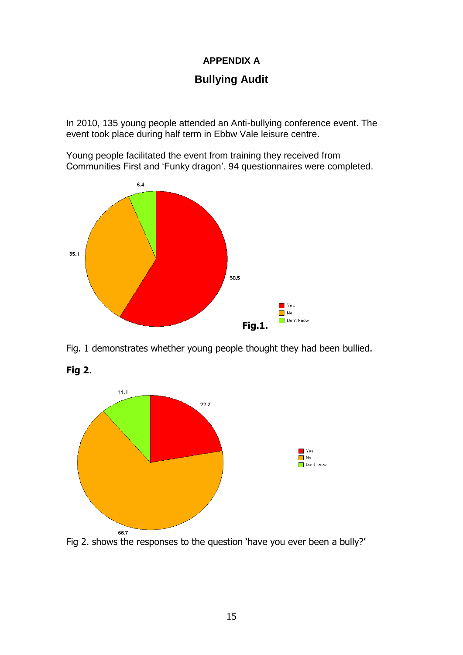#### **APPENDIX A**

#### **Bullying Audit**

In 2010, 135 young people attended an Anti-bullying conference event. The event took place during half term in Ebbw Vale leisure centre.

Young people facilitated the event from training they received from Communities First and 'Funky dragon'. 94 questionnaires were completed.



Fig. 1 demonstrates whether young people thought they had been bullied.



**Fig 2**.

Fig 2. shows the responses to the question 'have you ever been a bully?'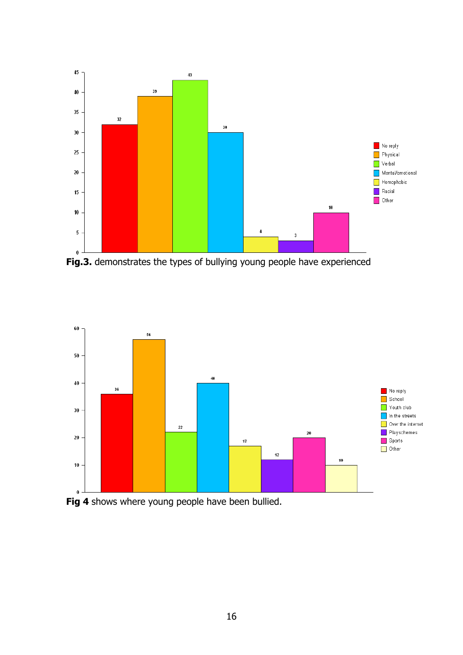

**Fig.3.** demonstrates the types of bullying young people have experienced



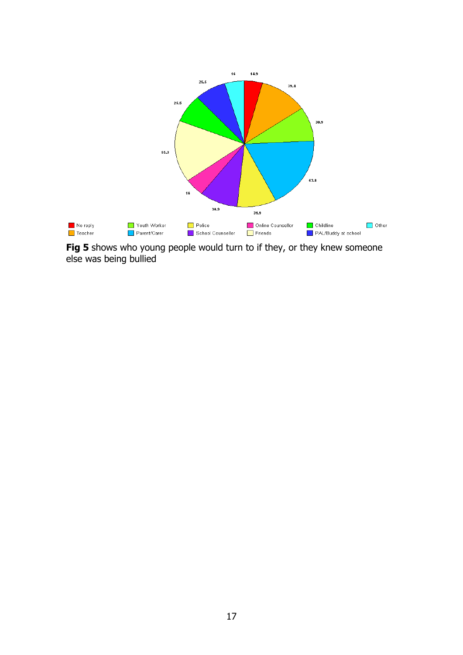

Fig 5 shows who young people would turn to if they, or they knew someone else was being bullied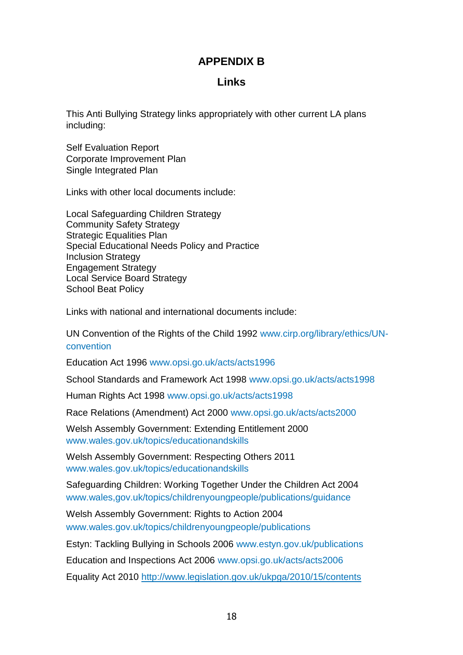#### **APPENDIX B**

#### **Links**

This Anti Bullying Strategy links appropriately with other current LA plans including:

Self Evaluation Report Corporate Improvement Plan Single Integrated Plan

Links with other local documents include:

Local Safeguarding Children Strategy Community Safety Strategy Strategic Equalities Plan Special Educational Needs Policy and Practice Inclusion Strategy Engagement Strategy Local Service Board Strategy School Beat Policy

Links with national and international documents include:

UN Convention of the Rights of the Child 1992 www.cirp.org/library/ethics/UNconvention

Education Act 1996 www.opsi.go.uk/acts/acts1996

School Standards and Framework Act 1998 www.opsi.go.uk/acts/acts1998

Human Rights Act 1998 www.opsi.go.uk/acts/acts1998

Race Relations (Amendment) Act 2000 www.opsi.go.uk/acts/acts2000

Welsh Assembly Government: Extending Entitlement 2000 www.wales.gov.uk/topics/educationandskills

Welsh Assembly Government: Respecting Others 2011 www.wales.gov.uk/topics/educationandskills

Safeguarding Children: Working Together Under the Children Act 2004 www.wales,gov.uk/topics/childrenyoungpeople/publications/guidance

Welsh Assembly Government: Rights to Action 2004 www.wales.gov.uk/topics/childrenyoungpeople/publications

Estyn: Tackling Bullying in Schools 2006 www.estyn.gov.uk/publications

Education and Inspections Act 2006 www.opsi.go.uk/acts/acts2006

Equality Act 2010 <http://www.legislation.gov.uk/ukpga/2010/15/contents>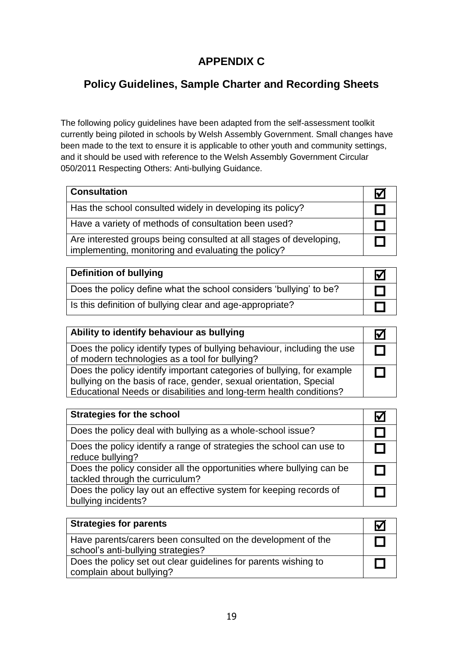#### **APPENDIX C**

#### **Policy Guidelines, Sample Charter and Recording Sheets**

The following policy guidelines have been adapted from the self-assessment toolkit currently being piloted in schools by Welsh Assembly Government. Small changes have been made to the text to ensure it is applicable to other youth and community settings, and it should be used with reference to the Welsh Assembly Government Circular 050/2011 Respecting Others: Anti-bullying Guidance.

| <b>Consultation</b>                                                                                                       | $\mathbf{v}$ |
|---------------------------------------------------------------------------------------------------------------------------|--------------|
| Has the school consulted widely in developing its policy?                                                                 |              |
| Have a variety of methods of consultation been used?                                                                      |              |
| Are interested groups being consulted at all stages of developing,<br>implementing, monitoring and evaluating the policy? |              |

| Definition of bullying                                             |  |
|--------------------------------------------------------------------|--|
| Does the policy define what the school considers 'bullying' to be? |  |
| Is this definition of bullying clear and age-appropriate?          |  |

| Ability to identify behaviour as bullying                                                                                                                                                                          |  |
|--------------------------------------------------------------------------------------------------------------------------------------------------------------------------------------------------------------------|--|
| Does the policy identify types of bullying behaviour, including the use<br>of modern technologies as a tool for bullying?                                                                                          |  |
| Does the policy identify important categories of bullying, for example<br>bullying on the basis of race, gender, sexual orientation, Special<br>Educational Needs or disabilities and long-term health conditions? |  |

| <b>Strategies for the school</b>                                                                        |  |
|---------------------------------------------------------------------------------------------------------|--|
| Does the policy deal with bullying as a whole-school issue?                                             |  |
| Does the policy identify a range of strategies the school can use to<br>reduce bullying?                |  |
| Does the policy consider all the opportunities where bullying can be<br>tackled through the curriculum? |  |
| Does the policy lay out an effective system for keeping records of<br>bullying incidents?               |  |

| <b>Strategies for parents</b>                                                                      |  |
|----------------------------------------------------------------------------------------------------|--|
| Have parents/carers been consulted on the development of the<br>school's anti-bullying strategies? |  |
| Does the policy set out clear guidelines for parents wishing to<br>complain about bullying?        |  |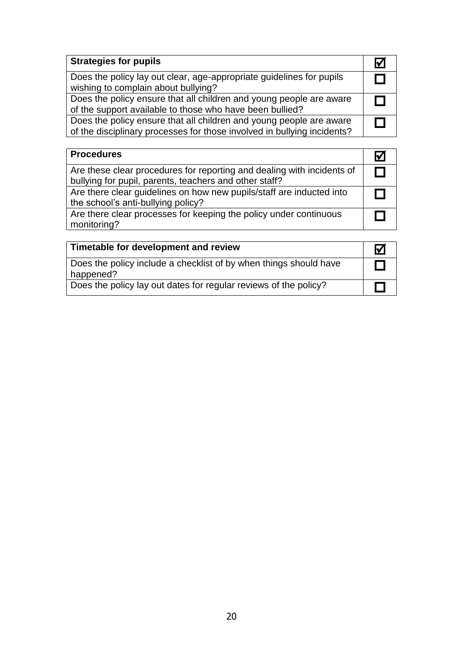| <b>Strategies for pupils</b>                                                                                                                   |  |
|------------------------------------------------------------------------------------------------------------------------------------------------|--|
| Does the policy lay out clear, age-appropriate guidelines for pupils<br>wishing to complain about bullying?                                    |  |
| Does the policy ensure that all children and young people are aware<br>of the support available to those who have been bullied?                |  |
| Does the policy ensure that all children and young people are aware<br>of the disciplinary processes for those involved in bullying incidents? |  |

| <b>Procedures</b>                                                                                                                |  |
|----------------------------------------------------------------------------------------------------------------------------------|--|
| Are these clear procedures for reporting and dealing with incidents of<br>bullying for pupil, parents, teachers and other staff? |  |
| Are there clear guidelines on how new pupils/staff are inducted into<br>the school's anti-bullying policy?                       |  |
| Are there clear processes for keeping the policy under continuous<br>monitoring?                                                 |  |

| Timetable for development and review                                           | ŀ۷ |
|--------------------------------------------------------------------------------|----|
| Does the policy include a checklist of by when things should have<br>happened? |    |
| Does the policy lay out dates for regular reviews of the policy?               |    |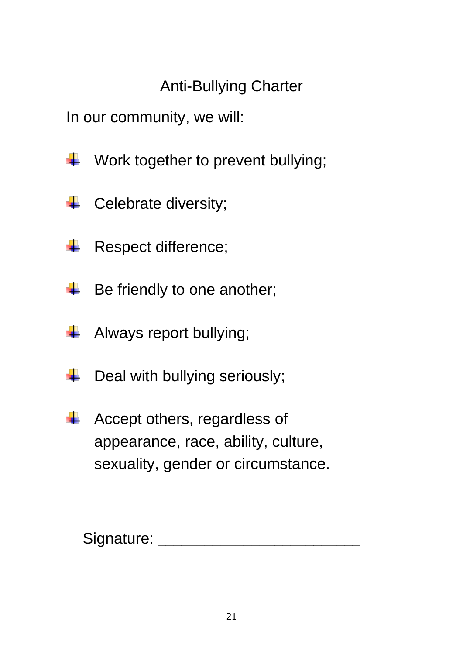# Anti-Bullying Charter

In our community, we will:

- Work together to prevent bullying; ٦
- Celebrate diversity; ۰
- Respect difference; ÷
- Be friendly to one another; ٦
- Always report bullying; ÷
- Deal with bullying seriously; ٦
- Accept others, regardless of appearance, race, ability, culture, sexuality, gender or circumstance.

Signature:  $\Box$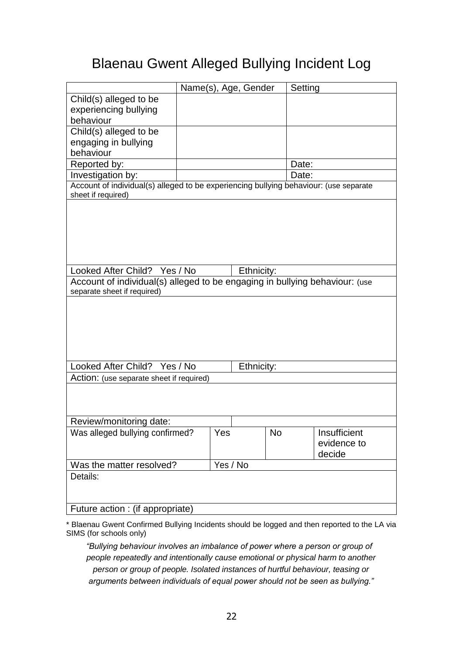### Blaenau Gwent Alleged Bullying Incident Log

|                                                                                       | Name(s), Age, Gender |       |            |  | Setting      |  |  |
|---------------------------------------------------------------------------------------|----------------------|-------|------------|--|--------------|--|--|
| Child(s) alleged to be                                                                |                      |       |            |  |              |  |  |
| experiencing bullying                                                                 |                      |       |            |  |              |  |  |
| behaviour                                                                             |                      |       |            |  |              |  |  |
| Child(s) alleged to be                                                                |                      |       |            |  |              |  |  |
| engaging in bullying                                                                  |                      |       |            |  |              |  |  |
| behaviour                                                                             |                      |       |            |  |              |  |  |
| Reported by:                                                                          |                      | Date: |            |  |              |  |  |
| Investigation by:                                                                     | Date:                |       |            |  |              |  |  |
| Account of individual(s) alleged to be experiencing bullying behaviour: (use separate |                      |       |            |  |              |  |  |
| sheet if required)                                                                    |                      |       |            |  |              |  |  |
|                                                                                       |                      |       |            |  |              |  |  |
|                                                                                       |                      |       |            |  |              |  |  |
|                                                                                       |                      |       |            |  |              |  |  |
|                                                                                       |                      |       |            |  |              |  |  |
|                                                                                       |                      |       |            |  |              |  |  |
|                                                                                       |                      |       |            |  |              |  |  |
| Looked After Child? Yes / No                                                          |                      |       | Ethnicity: |  |              |  |  |
| Account of individual(s) alleged to be engaging in bullying behaviour: (use           |                      |       |            |  |              |  |  |
| separate sheet if required)                                                           |                      |       |            |  |              |  |  |
|                                                                                       |                      |       |            |  |              |  |  |
|                                                                                       |                      |       |            |  |              |  |  |
|                                                                                       |                      |       |            |  |              |  |  |
|                                                                                       |                      |       |            |  |              |  |  |
|                                                                                       |                      |       |            |  |              |  |  |
| Looked After Child?<br>Ethnicity:<br>Yes / No                                         |                      |       |            |  |              |  |  |
| Action: (use separate sheet if required)                                              |                      |       |            |  |              |  |  |
|                                                                                       |                      |       |            |  |              |  |  |
|                                                                                       |                      |       |            |  |              |  |  |
|                                                                                       |                      |       |            |  |              |  |  |
| Review/monitoring date:                                                               |                      |       |            |  |              |  |  |
| Was alleged bullying confirmed?                                                       |                      | Yes   | <b>No</b>  |  | Insufficient |  |  |
|                                                                                       |                      |       |            |  | evidence to  |  |  |
|                                                                                       |                      |       |            |  | decide       |  |  |
| Was the matter resolved?                                                              | Yes / No             |       |            |  |              |  |  |
| Details:                                                                              |                      |       |            |  |              |  |  |
|                                                                                       |                      |       |            |  |              |  |  |
|                                                                                       |                      |       |            |  |              |  |  |
| Future action : (if appropriate)                                                      |                      |       |            |  |              |  |  |

\* Blaenau Gwent Confirmed Bullying Incidents should be logged and then reported to the LA via SIMS (for schools only)

*"Bullying behaviour involves an imbalance of power where a person or group of people repeatedly and intentionally cause emotional or physical harm to another person or group of people. Isolated instances of hurtful behaviour, teasing or arguments between individuals of equal power should not be seen as bullying."*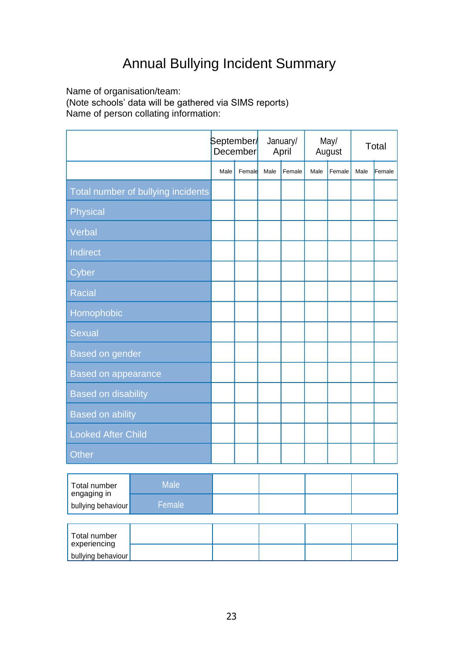# Annual Bullying Incident Summary

Name of organisation/team:

(Note schools' data will be gathered via SIMS reports)

Name of person collating information:

|                                    | September∕<br><b>December</b> |        | January/<br>April |        | May/<br>August |        | Total |        |
|------------------------------------|-------------------------------|--------|-------------------|--------|----------------|--------|-------|--------|
|                                    | Male                          | Female | Male              | Female | Male           | Female | Male  | Female |
| Total number of bullying incidents |                               |        |                   |        |                |        |       |        |
| Physical                           |                               |        |                   |        |                |        |       |        |
| Verbal                             |                               |        |                   |        |                |        |       |        |
| Indirect                           |                               |        |                   |        |                |        |       |        |
| Cyber                              |                               |        |                   |        |                |        |       |        |
| <b>Racial</b>                      |                               |        |                   |        |                |        |       |        |
| Homophobic                         |                               |        |                   |        |                |        |       |        |
| <b>Sexual</b>                      |                               |        |                   |        |                |        |       |        |
| <b>Based on gender</b>             |                               |        |                   |        |                |        |       |        |
| <b>Based on appearance</b>         |                               |        |                   |        |                |        |       |        |
| <b>Based on disability</b>         |                               |        |                   |        |                |        |       |        |
| <b>Based on ability</b>            |                               |        |                   |        |                |        |       |        |
| <b>Looked After Child</b>          |                               |        |                   |        |                |        |       |        |
| <b>Other</b>                       |                               |        |                   |        |                |        |       |        |

| Total number<br>engaging in<br>bullying behaviour | <b>Male</b> |  |  |
|---------------------------------------------------|-------------|--|--|
|                                                   | Female      |  |  |
|                                                   |             |  |  |
| Total number                                      |             |  |  |
| experiencing<br>bullying behaviour                |             |  |  |